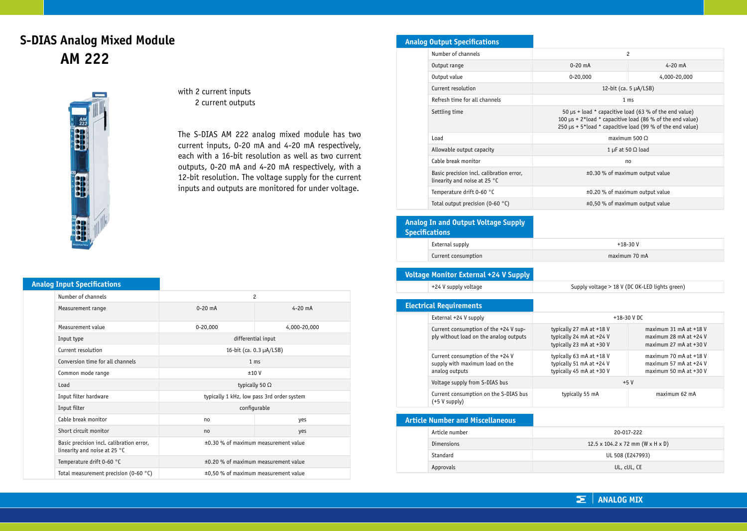# **S-DIAS Analog Mixed Module AM 222**



with 2 current inputs 2 current outputs

The S-DIAS AM 222 analog mixed module has two current inputs, 0-20 mA and 4-20 mA respectively, each with a 16-bit resolution as well as two current outputs, 0-20 mA and 4-20 mA respectively, with a 12-bit resolution. The voltage supply for the current inputs and outputs are monitored for under voltage.

### **Analog Input Specifications**

| Number of channels                                                       | $\overline{c}$                             |              |
|--------------------------------------------------------------------------|--------------------------------------------|--------------|
| Measurement range                                                        | $0-20$ mA                                  | $4 - 20$ mA  |
| Measurement value                                                        | $0-20,000$                                 | 4,000-20,000 |
| Input type                                                               | differential input                         |              |
| Current resolution                                                       | 16-bit (ca. $0.3 \mu A / LSB$ )            |              |
| Conversion time for all channels                                         | 1 <sub>ms</sub>                            |              |
| Common mode range                                                        | ±10V                                       |              |
| Load                                                                     | typically 50 $\Omega$                      |              |
| Input filter hardware                                                    | typically 1 kHz, low pass 3rd order system |              |
| Input filter                                                             | configurable                               |              |
| Cable break monitor                                                      | no                                         | yes          |
| Short circuit monitor                                                    | no                                         | yes          |
| Basic precision incl. calibration error,<br>linearity and noise at 25 °C | ±0.30 % of maximum measurement value       |              |
| Temperature drift 0-60 °C                                                | ±0.20 % of maximum measurement value       |              |
| Total measurement precision (0-60 $^{\circ}$ C)                          | ±0,50 % of maximum measurement value       |              |

# **Analog Output Specifications**

| 2                                                                                                                                                                                               |              |
|-------------------------------------------------------------------------------------------------------------------------------------------------------------------------------------------------|--------------|
| $0 - 20$ mA                                                                                                                                                                                     | $4 - 20$ mA  |
| $0 - 20,000$                                                                                                                                                                                    | 4,000-20,000 |
| 12-bit (ca. $5 \mu A / LSB$ )                                                                                                                                                                   |              |
| 1 <sub>ms</sub>                                                                                                                                                                                 |              |
| 50 $\mu$ s + load * capacitive load (63 % of the end value)<br>100 $\mu$ s + 2*load * capacitive load (86 % of the end value)<br>250 $\mu$ s + 5*load * capacitive load (99 % of the end value) |              |
| maximum $500 \Omega$                                                                                                                                                                            |              |
| 1 µF at 50 $\Omega$ load                                                                                                                                                                        |              |
| no                                                                                                                                                                                              |              |
| ±0.30 % of maximum output value                                                                                                                                                                 |              |
| ±0.20 % of maximum output value                                                                                                                                                                 |              |
| ±0,50 % of maximum output value                                                                                                                                                                 |              |
|                                                                                                                                                                                                 |              |

## **Analog In and Output Voltage Supply Specifications** External supply  $+18-30$  V Current consumption maximum 70 mA

#### **Voltage Monitor External +24 V Supply**

|  | Voltage Monitor External +24 V Supply                                                 |                                                                                  |
|--|---------------------------------------------------------------------------------------|----------------------------------------------------------------------------------|
|  | +24 V supply voltage                                                                  | Supply voltage > 18 V (                                                          |
|  |                                                                                       |                                                                                  |
|  | <b>Electrical Requirements</b>                                                        |                                                                                  |
|  | External +24 V supply                                                                 | $+18-3$                                                                          |
|  | Current consumption of the +24 V sup-<br>ply without load on the analog outputs       | typically 27 mA at +18 V<br>typically 24 mA at +24 V<br>typically 23 mA at +30 V |
|  | Current consumption of the +24 V<br>supply with maximum load on the<br>analog outputs | typically 63 mA at +18 V<br>typically 51 mA at +24 V<br>typically 45 mA at +30 V |

(DC OK-LED lights green)

|  | External +24 V supply                                                                 | $+18-30$ V DC                                                                    |                                                                                                        |
|--|---------------------------------------------------------------------------------------|----------------------------------------------------------------------------------|--------------------------------------------------------------------------------------------------------|
|  | Current consumption of the +24 V sup-<br>ply without load on the analog outputs       | typically 27 mA at +18 V<br>typically 24 mA at +24 V<br>typically 23 mA at +30 V | maximum $31$ mA at $+18$ V<br>maximum $28$ mA at $+24$ V<br>maximum $27 \text{ mA}$ at $+30 \text{ V}$ |
|  | Current consumption of the +24 V<br>supply with maximum load on the<br>analog outputs | typically 63 mA at +18 V<br>typically 51 mA at +24 V<br>typically 45 mA at +30 V | maximum 70 mA at $+18$ V<br>maximum 57 mA at $+24$ V<br>maximum 50 mA at $+30$ V                       |
|  | Voltage supply from S-DIAS bus                                                        | $+5V$                                                                            |                                                                                                        |
|  | Current consumption on the S-DIAS bus<br>$(+5 V supp)v)$                              | typically 55 mA                                                                  | maximum 62 mA                                                                                          |

### **Article Number and Miscellaneous**

| Article number | 20-017-222                                   |
|----------------|----------------------------------------------|
| Dimensions     | $12.5 \times 104.2 \times 72$ mm (W x H x D) |
| Standard       | UL 508 (E247993)                             |
| Approvals      | UL, cUL, CE                                  |